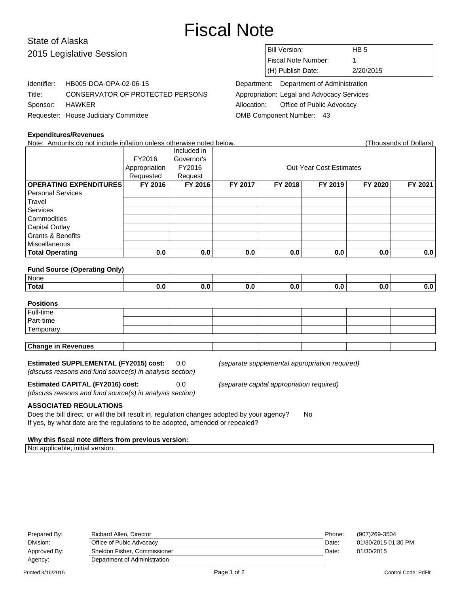# Fiscal Note

## State of Alaska 2015 Legislative Session

Identifier: HB005-DOA-OPA-02-06-15

Requester: House Judiciary Committee

| <b>Bill Version:</b> | HB 5      |
|----------------------|-----------|
| Fiscal Note Number:  |           |
| $(H)$ Publish Date:  | 2/20/2015 |

Department: Department of Administration Appropriation: Legal and Advocacy Services Allocation: Office of Public Advocacy OMB Component Number: 43

## **Expenditures/Revenues**

Sponsor: HAWKER

Note: Amounts do not include inflation unless otherwise noted below. Thousands of Dollars (Thousands of Dollars)

Title: CONSERVATOR OF PROTECTED PERSONS

|                               |               | Included in |                                |         |         |         |         |  |
|-------------------------------|---------------|-------------|--------------------------------|---------|---------|---------|---------|--|
|                               | FY2016        | Governor's  |                                |         |         |         |         |  |
|                               | Appropriation | FY2016      | <b>Out-Year Cost Estimates</b> |         |         |         |         |  |
|                               | Requested     | Request     |                                |         |         |         |         |  |
| <b>OPERATING EXPENDITURES</b> | FY 2016       | FY 2016     | FY 2017                        | FY 2018 | FY 2019 | FY 2020 | FY 2021 |  |
| Personal Services             |               |             |                                |         |         |         |         |  |
| Travel                        |               |             |                                |         |         |         |         |  |
| Services                      |               |             |                                |         |         |         |         |  |
| Commodities                   |               |             |                                |         |         |         |         |  |
| <b>Capital Outlay</b>         |               |             |                                |         |         |         |         |  |
| <b>Grants &amp; Benefits</b>  |               |             |                                |         |         |         |         |  |
| Miscellaneous                 |               |             |                                |         |         |         |         |  |
| <b>Total Operating</b>        | 0.0           | 0.0         | 0.0                            | 0.0     | 0.0     | 0.0     | 0.0     |  |

#### **Fund Source (Operating Only)**

| <sup>⊥</sup> None. |  |  |  |  |
|--------------------|--|--|--|--|
| <b>Total</b>       |  |  |  |  |

## **Positions** Full-time Part-time **Temporary Change in Revenues**

## **Estimated SUPPLEMENTAL (FY2015) cost:** 0.0 (separate supplemental appropriation required)

(discuss reasons and fund source(s) in analysis section)

**Estimated CAPITAL (FY2016) cost:** 0.0 (separate capital appropriation required)

(discuss reasons and fund source(s) in analysis section)

#### **ASSOCIATED REGULATIONS**

Does the bill direct, or will the bill result in, regulation changes adopted by your agency? No If yes, by what date are the regulations to be adopted, amended or repealed?

#### **Why this fiscal note differs from previous version:**

Not applicable; initial version.

| Prepared By: | Richard Allen, Director      | Phone: | (907)269-3504       |
|--------------|------------------------------|--------|---------------------|
| Division:    | Office of Pubic Advocacy     | Date:  | 01/30/2015 01:30 PM |
| Approved By: | Sheldon Fisher, Commissioner | Date:  | 01/30/2015          |
| Agency:      | Department of Administration |        |                     |
|              |                              |        |                     |